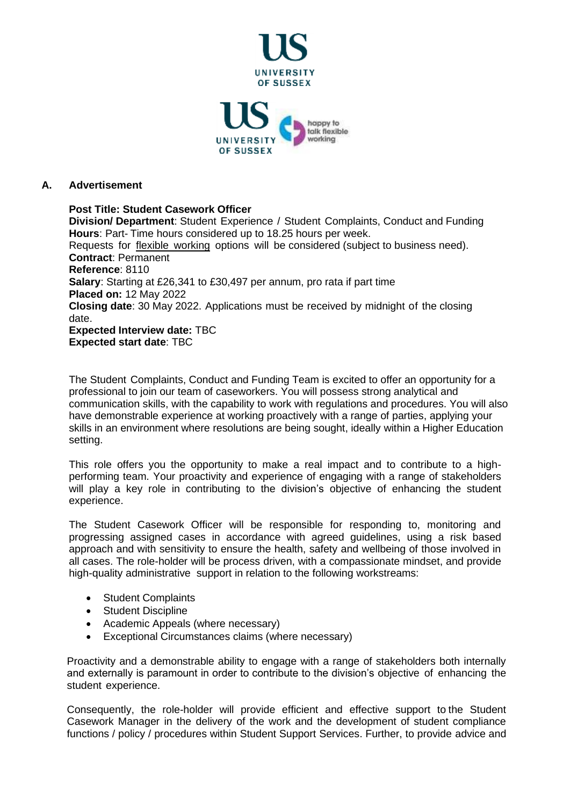

## **A. Advertisement**

**Post Title: Student Casework Officer Division/ Department**: Student Experience / Student Complaints, Conduct and Funding **Hours**: Part- Time hours considered up to 18.25 hours per week. Requests for flexible [working](http://www.sussex.ac.uk/humanresources/personnel/flexible-working) options will be considered (subject to business need). **Contract**: Permanent **Reference**: 8110 **Salary**: Starting at £26,341 to £30,497 per annum, pro rata if part time **Placed on:** 12 May 2022 **Closing date**: 30 May 2022. Applications must be received by midnight of the closing date. **Expected Interview date:** TBC **Expected start date**: TBC

The Student Complaints, Conduct and Funding Team is excited to offer an opportunity for a professional to join our team of caseworkers. You will possess strong analytical and communication skills, with the capability to work with regulations and procedures. You will also have demonstrable experience at working proactively with a range of parties, applying your skills in an environment where resolutions are being sought, ideally within a Higher Education setting.

This role offers you the opportunity to make a real impact and to contribute to a highperforming team. Your proactivity and experience of engaging with a range of stakeholders will play a key role in contributing to the division's objective of enhancing the student experience.

The Student Casework Officer will be responsible for responding to, monitoring and progressing assigned cases in accordance with agreed guidelines, using a risk based approach and with sensitivity to ensure the health, safety and wellbeing of those involved in all cases. The role-holder will be process driven, with a compassionate mindset, and provide high-quality administrative support in relation to the following workstreams:

- Student Complaints
- Student Discipline
- Academic Appeals (where necessary)
- Exceptional Circumstances claims (where necessary)

Proactivity and a demonstrable ability to engage with a range of stakeholders both internally and externally is paramount in order to contribute to the division's objective of enhancing the student experience.

Consequently, the role-holder will provide efficient and effective support to the Student Casework Manager in the delivery of the work and the development of student compliance functions / policy / procedures within Student Support Services. Further, to provide advice and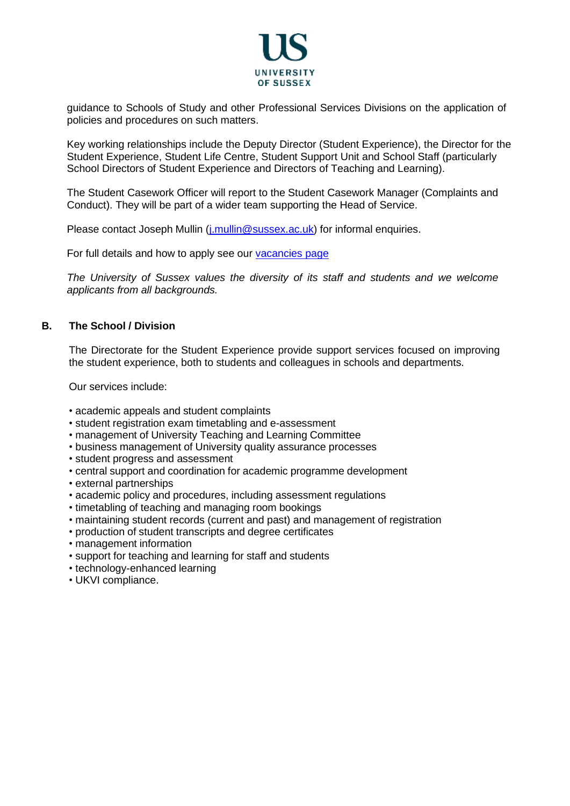

guidance to Schools of Study and other Professional Services Divisions on the application of policies and procedures on such matters.

Key working relationships include the Deputy Director (Student Experience), the Director for the Student Experience, Student Life Centre, Student Support Unit and School Staff (particularly School Directors of Student Experience and Directors of Teaching and Learning).

The Student Casework Officer will report to the Student Casework Manager (Complaints and Conduct). They will be part of a wider team supporting the Head of Service.

Please contact Joseph Mullin (*j.mullin@sussex.ac.uk*) for informal enquiries.

For full details and how to apply see our [vacancies](http://www.sussex.ac.uk/about/jobs) page

*The University of Sussex values the diversity of its staff and students and we welcome applicants from all backgrounds.*

#### **B. The School / Division**

The Directorate for the Student Experience provide support services focused on improving the student experience, both to students and colleagues in schools and departments.

Our services include:

- academic appeals and student complaints
- student registration exam timetabling and e-assessment
- management of University Teaching and Learning Committee
- business management of University quality assurance processes
- student progress and assessment
- central support and coordination for academic programme development
- external partnerships
- academic policy and procedures, including assessment regulations
- timetabling of teaching and managing room bookings
- maintaining student records (current and past) and management of registration
- production of student transcripts and degree certificates
- management information
- support for teaching and learning for staff and students
- technology-enhanced learning
- UKVI compliance.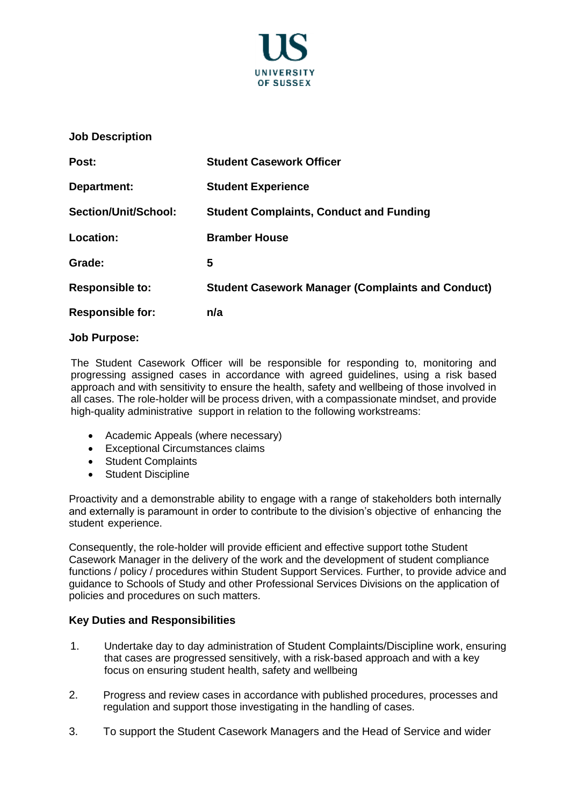

#### **Job Description**

| Post:                   | <b>Student Casework Officer</b>                          |
|-------------------------|----------------------------------------------------------|
| Department:             | <b>Student Experience</b>                                |
| Section/Unit/School:    | <b>Student Complaints, Conduct and Funding</b>           |
| Location:               | <b>Bramber House</b>                                     |
| Grade:                  | 5                                                        |
| <b>Responsible to:</b>  | <b>Student Casework Manager (Complaints and Conduct)</b> |
| <b>Responsible for:</b> | n/a                                                      |

#### **Job Purpose:**

The Student Casework Officer will be responsible for responding to, monitoring and progressing assigned cases in accordance with agreed guidelines, using a risk based approach and with sensitivity to ensure the health, safety and wellbeing of those involved in all cases. The role-holder will be process driven, with a compassionate mindset, and provide high-quality administrative support in relation to the following workstreams:

- Academic Appeals (where necessary)
- Exceptional Circumstances claims
- Student Complaints
- Student Discipline

Proactivity and a demonstrable ability to engage with a range of stakeholders both internally and externally is paramount in order to contribute to the division's objective of enhancing the student experience.

Consequently, the role-holder will provide efficient and effective support tothe Student Casework Manager in the delivery of the work and the development of student compliance functions / policy / procedures within Student Support Services. Further, to provide advice and guidance to Schools of Study and other Professional Services Divisions on the application of policies and procedures on such matters.

#### **Key Duties and Responsibilities**

- 1. Undertake day to day administration of Student Complaints/Discipline work, ensuring that cases are progressed sensitively, with a risk-based approach and with a key focus on ensuring student health, safety and wellbeing
- 2. Progress and review cases in accordance with published procedures, processes and regulation and support those investigating in the handling of cases.
- 3. To support the Student Casework Managers and the Head of Service and wider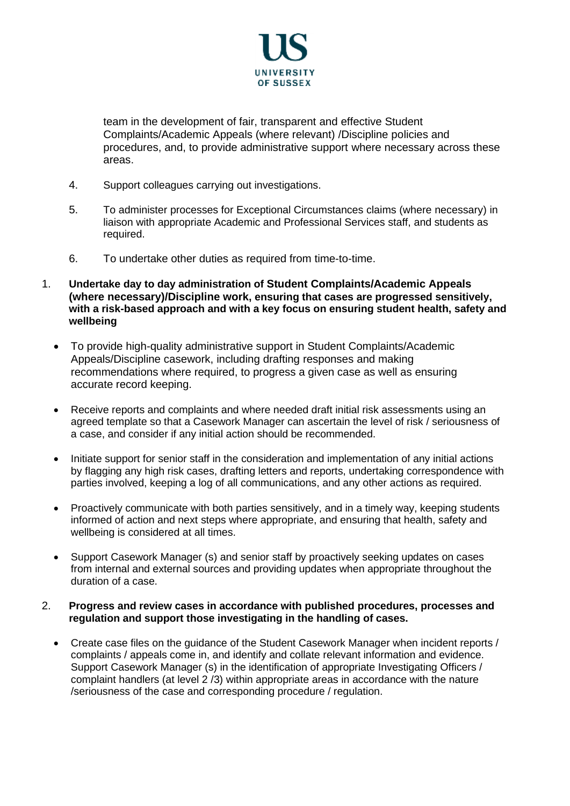

team in the development of fair, transparent and effective Student Complaints/Academic Appeals (where relevant) /Discipline policies and procedures, and, to provide administrative support where necessary across these areas.

- 4. Support colleagues carrying out investigations.
- 5. To administer processes for Exceptional Circumstances claims (where necessary) in liaison with appropriate Academic and Professional Services staff, and students as required.
- 6. To undertake other duties as required from time-to-time.
- 1. **Undertake day to day administration of Student Complaints/Academic Appeals (where necessary)/Discipline work, ensuring that cases are progressed sensitively, with a risk-based approach and with a key focus on ensuring student health, safety and wellbeing**
	- To provide high-quality administrative support in Student Complaints/Academic Appeals/Discipline casework, including drafting responses and making recommendations where required, to progress a given case as well as ensuring accurate record keeping.
	- Receive reports and complaints and where needed draft initial risk assessments using an agreed template so that a Casework Manager can ascertain the level of risk / seriousness of a case, and consider if any initial action should be recommended.
	- Initiate support for senior staff in the consideration and implementation of any initial actions by flagging any high risk cases, drafting letters and reports, undertaking correspondence with parties involved, keeping a log of all communications, and any other actions as required.
	- Proactively communicate with both parties sensitively, and in a timely way, keeping students informed of action and next steps where appropriate, and ensuring that health, safety and wellbeing is considered at all times.
	- Support Casework Manager (s) and senior staff by proactively seeking updates on cases from internal and external sources and providing updates when appropriate throughout the duration of a case.

#### 2. **Progress and review cases in accordance with published procedures, processes and regulation and support those investigating in the handling of cases.**

• Create case files on the guidance of the Student Casework Manager when incident reports / complaints / appeals come in, and identify and collate relevant information and evidence. Support Casework Manager (s) in the identification of appropriate Investigating Officers / complaint handlers (at level 2 /3) within appropriate areas in accordance with the nature /seriousness of the case and corresponding procedure / regulation.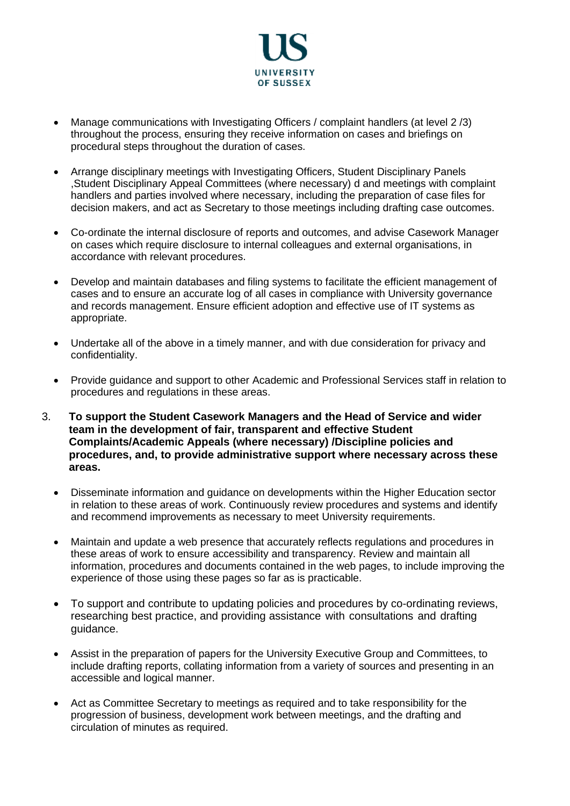

- Manage communications with Investigating Officers / complaint handlers (at level 2 /3) throughout the process, ensuring they receive information on cases and briefings on procedural steps throughout the duration of cases.
- Arrange disciplinary meetings with Investigating Officers, Student Disciplinary Panels ,Student Disciplinary Appeal Committees (where necessary) d and meetings with complaint handlers and parties involved where necessary, including the preparation of case files for decision makers, and act as Secretary to those meetings including drafting case outcomes.
- Co-ordinate the internal disclosure of reports and outcomes, and advise Casework Manager on cases which require disclosure to internal colleagues and external organisations, in accordance with relevant procedures.
- Develop and maintain databases and filing systems to facilitate the efficient management of cases and to ensure an accurate log of all cases in compliance with University governance and records management. Ensure efficient adoption and effective use of IT systems as appropriate.
- Undertake all of the above in a timely manner, and with due consideration for privacy and confidentiality.
- Provide guidance and support to other Academic and Professional Services staff in relation to procedures and regulations in these areas.
- 3. **To support the Student Casework Managers and the Head of Service and wider team in the development of fair, transparent and effective Student Complaints/Academic Appeals (where necessary) /Discipline policies and procedures, and, to provide administrative support where necessary across these areas.**
	- Disseminate information and guidance on developments within the Higher Education sector in relation to these areas of work. Continuously review procedures and systems and identify and recommend improvements as necessary to meet University requirements.
	- Maintain and update a web presence that accurately reflects regulations and procedures in these areas of work to ensure accessibility and transparency. Review and maintain all information, procedures and documents contained in the web pages, to include improving the experience of those using these pages so far as is practicable.
	- To support and contribute to updating policies and procedures by co-ordinating reviews, researching best practice, and providing assistance with consultations and drafting guidance.
	- Assist in the preparation of papers for the University Executive Group and Committees, to include drafting reports, collating information from a variety of sources and presenting in an accessible and logical manner.
	- Act as Committee Secretary to meetings as required and to take responsibility for the progression of business, development work between meetings, and the drafting and circulation of minutes as required.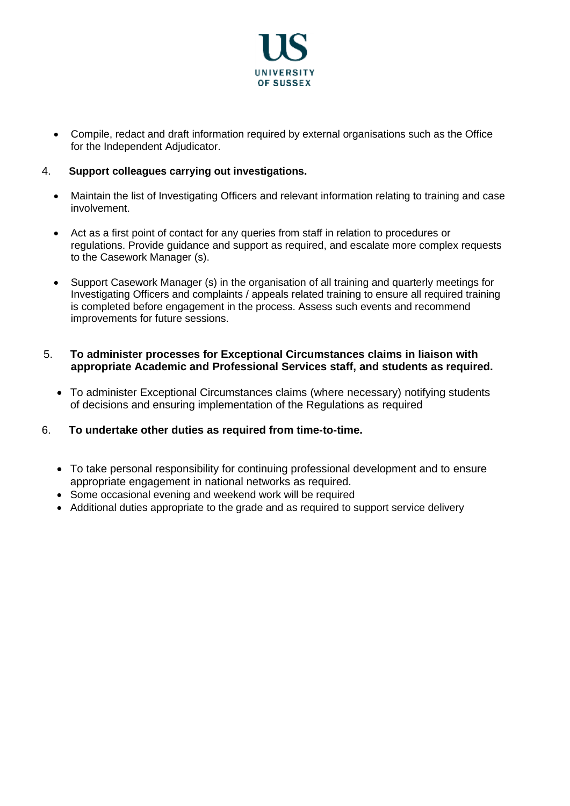

• Compile, redact and draft information required by external organisations such as the Office for the Independent Adjudicator.

# 4. **Support colleagues carrying out investigations.**

- Maintain the list of Investigating Officers and relevant information relating to training and case involvement.
- Act as a first point of contact for any queries from staff in relation to procedures or regulations. Provide guidance and support as required, and escalate more complex requests to the Casework Manager (s).
- Support Casework Manager (s) in the organisation of all training and quarterly meetings for Investigating Officers and complaints / appeals related training to ensure all required training is completed before engagement in the process. Assess such events and recommend improvements for future sessions.

#### 5. **To administer processes for Exceptional Circumstances claims in liaison with appropriate Academic and Professional Services staff, and students as required.**

• To administer Exceptional Circumstances claims (where necessary) notifying students of decisions and ensuring implementation of the Regulations as required

#### 6. **To undertake other duties as required from time-to-time.**

- To take personal responsibility for continuing professional development and to ensure appropriate engagement in national networks as required.
- Some occasional evening and weekend work will be required
- Additional duties appropriate to the grade and as required to support service delivery